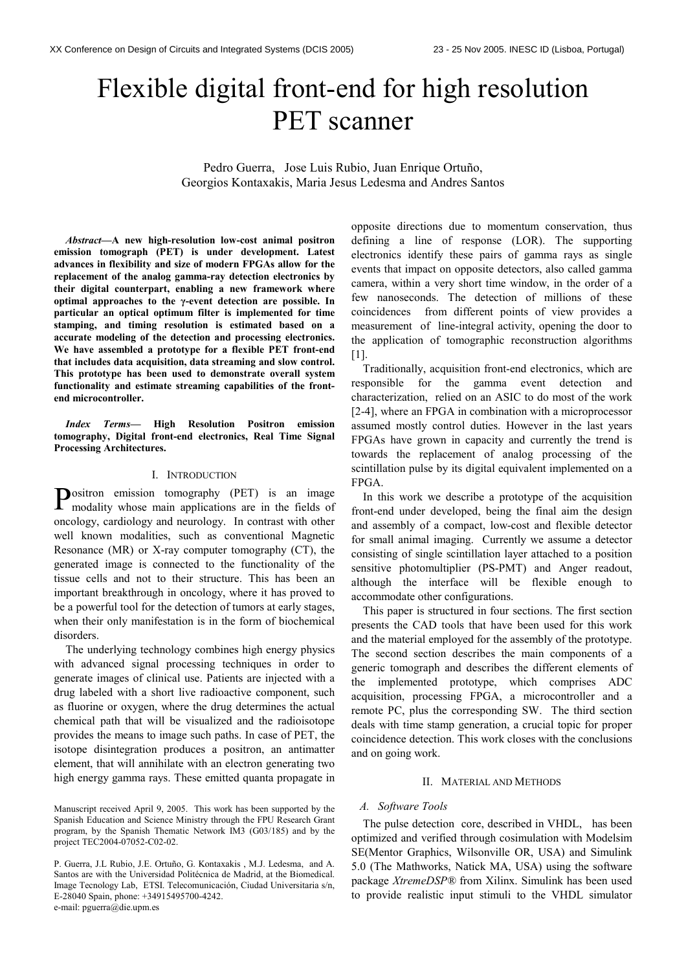# Flexible digital front-end for high resolution PET scanner

Pedro Guerra, Jose Luis Rubio, Juan Enrique Ortuño, Georgios Kontaxakis, Maria Jesus Ledesma and Andres Santos

Abstract—A new high-resolution low-cost animal positron emission tomograph (PET) is under development. Latest advances in flexibility and size of modern FPGAs allow for the replacement of the analog gamma-ray detection electronics by their digital counterpart, enabling a new framework where optimal approaches to the γ-event detection are possible. In particular an optical optimum filter is implemented for time stamping, and timing resolution is estimated based on a accurate modeling of the detection and processing electronics. We have assembled a prototype for a flexible PET front-end that includes data acquisition, data streaming and slow control. This prototype has been used to demonstrate overall system functionality and estimate streaming capabilities of the frontend microcontroller.

Index Terms— High Resolution Positron emission tomography, Digital front-end electronics, Real Time Signal Processing Architectures.

## I. INTRODUCTION

ositron emission tomography (PET) is an image Positron emission tomography (PET) is an image modality whose main applications are in the fields of oncology, cardiology and neurology. In contrast with other well known modalities, such as conventional Magnetic Resonance (MR) or X-ray computer tomography (CT), the generated image is connected to the functionality of the tissue cells and not to their structure. This has been an important breakthrough in oncology, where it has proved to be a powerful tool for the detection of tumors at early stages, when their only manifestation is in the form of biochemical disorders.

The underlying technology combines high energy physics with advanced signal processing techniques in order to generate images of clinical use. Patients are injected with a drug labeled with a short live radioactive component, such as fluorine or oxygen, where the drug determines the actual chemical path that will be visualized and the radioisotope provides the means to image such paths. In case of PET, the isotope disintegration produces a positron, an antimatter element, that will annihilate with an electron generating two high energy gamma rays. These emitted quanta propagate in

opposite directions due to momentum conservation, thus defining a line of response (LOR). The supporting electronics identify these pairs of gamma rays as single events that impact on opposite detectors, also called gamma camera, within a very short time window, in the order of a few nanoseconds. The detection of millions of these coincidences from different points of view provides a measurement of line-integral activity, opening the door to the application of tomographic reconstruction algorithms [1].

Traditionally, acquisition front-end electronics, which are responsible for the gamma event detection and characterization, relied on an ASIC to do most of the work [2-4], where an FPGA in combination with a microprocessor assumed mostly control duties. However in the last years FPGAs have grown in capacity and currently the trend is towards the replacement of analog processing of the scintillation pulse by its digital equivalent implemented on a FPGA.

In this work we describe a prototype of the acquisition front-end under developed, being the final aim the design and assembly of a compact, low-cost and flexible detector for small animal imaging. Currently we assume a detector consisting of single scintillation layer attached to a position sensitive photomultiplier (PS-PMT) and Anger readout, although the interface will be flexible enough to accommodate other configurations.

This paper is structured in four sections. The first section presents the CAD tools that have been used for this work and the material employed for the assembly of the prototype. The second section describes the main components of a generic tomograph and describes the different elements of the implemented prototype, which comprises ADC acquisition, processing FPGA, a microcontroller and a remote PC, plus the corresponding SW. The third section deals with time stamp generation, a crucial topic for proper coincidence detection. This work closes with the conclusions and on going work.

## II. MATERIAL AND METHODS

## A. Software Tools

The pulse detection core, described in VHDL, has been optimized and verified through cosimulation with Modelsim SE(Mentor Graphics, Wilsonville OR, USA) and Simulink 5.0 (The Mathworks, Natick MA, USA) using the software package XtremeDSP® from Xilinx. Simulink has been used to provide realistic input stimuli to the VHDL simulator

Manuscript received April 9, 2005. This work has been supported by the Spanish Education and Science Ministry through the FPU Research Grant program, by the Spanish Thematic Network IM3 (G03/185) and by the project TEC2004-07052-C02-02.

P. Guerra, J.L Rubio, J.E. Ortuño, G. Kontaxakis , M.J. Ledesma, and A. Santos are with the Universidad Politécnica de Madrid, at the Biomedical. Image Tecnology Lab, ETSI. Telecomunicación, Ciudad Universitaria s/n, E-28040 Spain, phone: +34915495700-4242. e-mail: pguerra@die.upm.es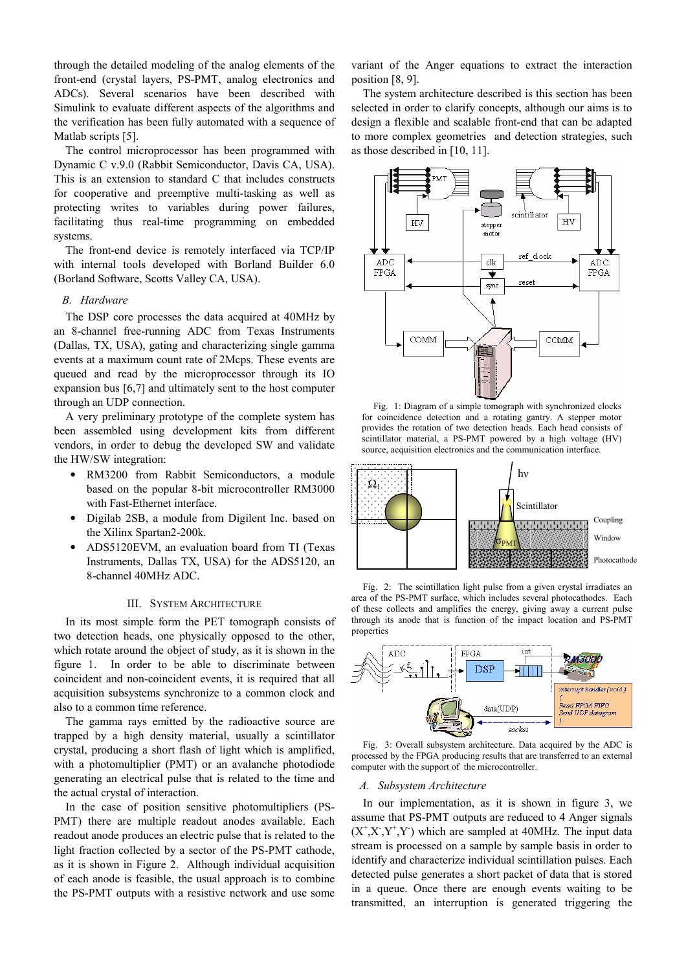through the detailed modeling of the analog elements of the front-end (crystal layers, PS-PMT, analog electronics and ADCs). Several scenarios have been described with Simulink to evaluate different aspects of the algorithms and the verification has been fully automated with a sequence of Matlab scripts [5].

The control microprocessor has been programmed with Dynamic C v.9.0 (Rabbit Semiconductor, Davis CA, USA). This is an extension to standard C that includes constructs for cooperative and preemptive multi-tasking as well as protecting writes to variables during power failures, facilitating thus real-time programming on embedded systems.

The front-end device is remotely interfaced via TCP/IP with internal tools developed with Borland Builder 6.0 (Borland Software, Scotts Valley CA, USA).

## B. Hardware

The DSP core processes the data acquired at 40MHz by an 8-channel free-running ADC from Texas Instruments (Dallas, TX, USA), gating and characterizing single gamma events at a maximum count rate of 2Mcps. These events are queued and read by the microprocessor through its IO expansion bus [6,7] and ultimately sent to the host computer through an UDP connection.

A very preliminary prototype of the complete system has been assembled using development kits from different vendors, in order to debug the developed SW and validate the HW/SW integration:

- RM3200 from Rabbit Semiconductors, a module based on the popular 8-bit microcontroller RM3000 with Fast-Ethernet interface.
- Digilab 2SB, a module from Digilent Inc. based on the Xilinx Spartan2-200k.
- ADS5120EVM, an evaluation board from TI (Texas Instruments, Dallas TX, USA) for the ADS5120, an 8-channel 40MHz ADC.

#### III. SYSTEM ARCHITECTURE

In its most simple form the PET tomograph consists of two detection heads, one physically opposed to the other, which rotate around the object of study, as it is shown in the figure 1. In order to be able to discriminate between coincident and non-coincident events, it is required that all acquisition subsystems synchronize to a common clock and also to a common time reference.

The gamma rays emitted by the radioactive source are trapped by a high density material, usually a scintillator crystal, producing a short flash of light which is amplified, with a photomultiplier (PMT) or an avalanche photodiode generating an electrical pulse that is related to the time and the actual crystal of interaction.

In the case of position sensitive photomultipliers (PS-PMT) there are multiple readout anodes available. Each readout anode produces an electric pulse that is related to the light fraction collected by a sector of the PS-PMT cathode, as it is shown in Figure 2. Although individual acquisition of each anode is feasible, the usual approach is to combine the PS-PMT outputs with a resistive network and use some

variant of the Anger equations to extract the interaction position [8, 9].

The system architecture described is this section has been selected in order to clarify concepts, although our aims is to design a flexible and scalable front-end that can be adapted to more complex geometries and detection strategies, such as those described in [10, 11].



Fig. 1: Diagram of a simple tomograph with synchronized clocks for coincidence detection and a rotating gantry. A stepper motor provides the rotation of two detection heads. Each head consists of scintillator material, a PS-PMT powered by a high voltage (HV) source, acquisition electronics and the communication interface.



Fig. 2: The scintillation light pulse from a given crystal irradiates an area of the PS-PMT surface, which includes several photocathodes. Each of these collects and amplifies the energy, giving away a current pulse through its anode that is function of the impact location and PS-PMT properties



Fig. 3: Overall subsystem architecture. Data acquired by the ADC is processed by the FPGA producing results that are transferred to an external computer with the support of the microcontroller.

### A. Subsystem Architecture

In our implementation, as it is shown in figure 3, we assume that PS-PMT outputs are reduced to 4 Anger signals  $(X^{\dagger}, X^{\dagger}, Y^{\dagger})$  which are sampled at 40MHz. The input data stream is processed on a sample by sample basis in order to identify and characterize individual scintillation pulses. Each detected pulse generates a short packet of data that is stored in a queue. Once there are enough events waiting to be transmitted, an interruption is generated triggering the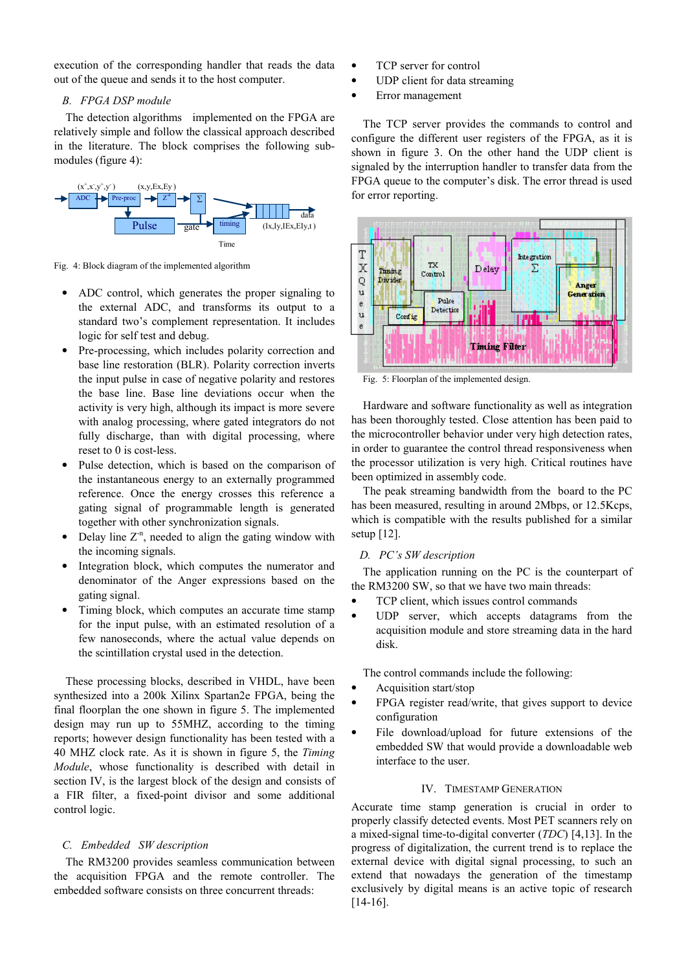execution of the corresponding handler that reads the data out of the queue and sends it to the host computer.

# B. FPGA DSP module

The detection algorithms implemented on the FPGA are relatively simple and follow the classical approach described in the literature. The block comprises the following submodules (figure 4):



Fig. 4: Block diagram of the implemented algorithm

- ADC control, which generates the proper signaling to the external ADC, and transforms its output to a standard two's complement representation. It includes logic for self test and debug.
- Pre-processing, which includes polarity correction and base line restoration (BLR). Polarity correction inverts the input pulse in case of negative polarity and restores the base line. Base line deviations occur when the activity is very high, although its impact is more severe with analog processing, where gated integrators do not fully discharge, than with digital processing, where reset to 0 is cost-less.
- Pulse detection, which is based on the comparison of the instantaneous energy to an externally programmed reference. Once the energy crosses this reference a gating signal of programmable length is generated together with other synchronization signals.
- Delay line  $Z<sup>n</sup>$ , needed to align the gating window with the incoming signals.
- Integration block, which computes the numerator and denominator of the Anger expressions based on the gating signal.
- Timing block, which computes an accurate time stamp for the input pulse, with an estimated resolution of a few nanoseconds, where the actual value depends on the scintillation crystal used in the detection.

These processing blocks, described in VHDL, have been synthesized into a 200k Xilinx Spartan2e FPGA, being the final floorplan the one shown in figure 5. The implemented design may run up to 55MHZ, according to the timing reports; however design functionality has been tested with a 40 MHZ clock rate. As it is shown in figure 5, the Timing Module, whose functionality is described with detail in section IV, is the largest block of the design and consists of a FIR filter, a fixed-point divisor and some additional control logic.

# C. Embedded SW description

The RM3200 provides seamless communication between the acquisition FPGA and the remote controller. The embedded software consists on three concurrent threads:

- TCP server for control
- UDP client for data streaming
- Error management

The TCP server provides the commands to control and configure the different user registers of the FPGA, as it is shown in figure 3. On the other hand the UDP client is signaled by the interruption handler to transfer data from the FPGA queue to the computer's disk. The error thread is used for error reporting.



Fig. 5: Floorplan of the implemented design.

Hardware and software functionality as well as integration has been thoroughly tested. Close attention has been paid to the microcontroller behavior under very high detection rates, in order to guarantee the control thread responsiveness when the processor utilization is very high. Critical routines have been optimized in assembly code.

The peak streaming bandwidth from the board to the PC has been measured, resulting in around 2Mbps, or 12.5Kcps, which is compatible with the results published for a similar setup [12].

# D. PC's SW description

The application running on the PC is the counterpart of the RM3200 SW, so that we have two main threads:

- TCP client, which issues control commands
- UDP server, which accepts datagrams from the acquisition module and store streaming data in the hard disk.

The control commands include the following:

- Acquisition start/stop
- FPGA register read/write, that gives support to device configuration
- File download/upload for future extensions of the embedded SW that would provide a downloadable web interface to the user.

# IV. TIMESTAMP GENERATION

Accurate time stamp generation is crucial in order to properly classify detected events. Most PET scanners rely on a mixed-signal time-to-digital converter (TDC) [4,13]. In the progress of digitalization, the current trend is to replace the external device with digital signal processing, to such an extend that nowadays the generation of the timestamp exclusively by digital means is an active topic of research [14-16].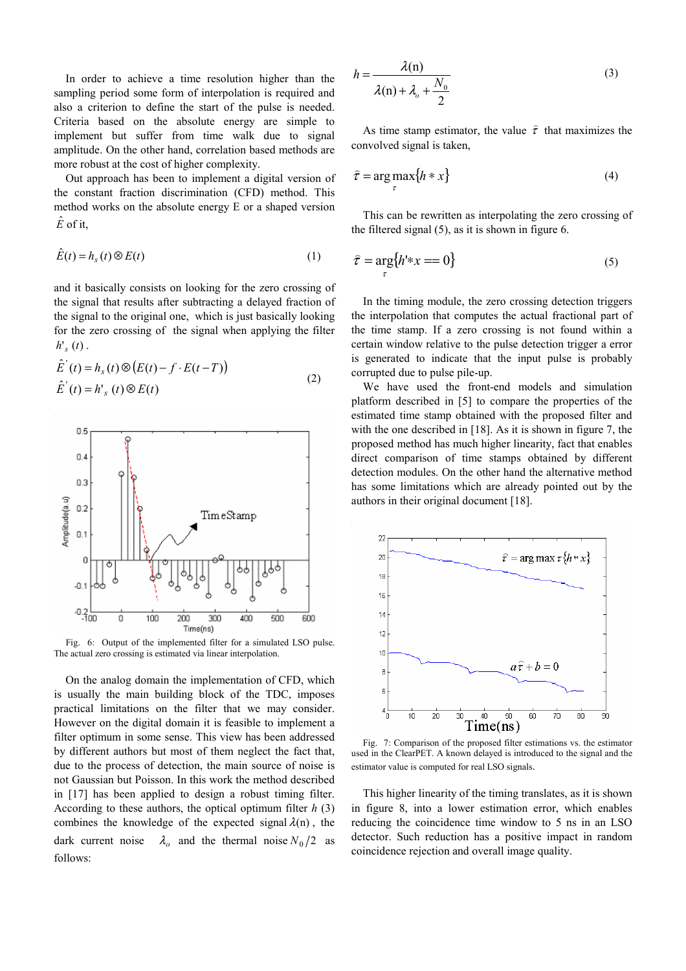In order to achieve a time resolution higher than the sampling period some form of interpolation is required and also a criterion to define the start of the pulse is needed. Criteria based on the absolute energy are simple to implement but suffer from time walk due to signal amplitude. On the other hand, correlation based methods are more robust at the cost of higher complexity.

 Out approach has been to implement a digital version of the constant fraction discrimination (CFD) method. This method works on the absolute energy E or a shaped version  $\hat{E}$  of it,

$$
\hat{E}(t) = h_s(t) \otimes E(t) \tag{1}
$$

and it basically consists on looking for the zero crossing of the signal that results after subtracting a delayed fraction of the signal to the original one, which is just basically looking for the zero crossing of the signal when applying the filter  $h'_{s}(t)$  .

$$
\hat{E}'(t) = h_s(t) \otimes (E(t) - f \cdot E(t - T))
$$
\n
$$
\hat{E}'(t) = h'_{s}(t) \otimes E(t)
$$
\n(2)



Fig. 6: Output of the implemented filter for a simulated LSO pulse. The actual zero crossing is estimated via linear interpolation.

On the analog domain the implementation of CFD, which is usually the main building block of the TDC, imposes practical limitations on the filter that we may consider. However on the digital domain it is feasible to implement a filter optimum in some sense. This view has been addressed by different authors but most of them neglect the fact that, due to the process of detection, the main source of noise is not Gaussian but Poisson. In this work the method described in [17] has been applied to design a robust timing filter. According to these authors, the optical optimum filter  $h(3)$ combines the knowledge of the expected signal  $\lambda$ (n), the dark current noise  $\lambda_o$  and the thermal noise  $N_0/2$  as follows:

$$
h = \frac{\lambda(n)}{\lambda(n) + \lambda_o + \frac{N_0}{2}}
$$
 (3)

As time stamp estimator, the value  $\hat{\tau}$ ) that maximizes the convolved signal is taken,

$$
\hat{\tau} = \underset{\tau}{\arg \max} \{ h * x \} \tag{4}
$$

This can be rewritten as interpolating the zero crossing of the filtered signal (5), as it is shown in figure 6.

$$
\hat{\tau} = \underset{\tau}{\arg} \{ h^{1} * x = 0 \} \tag{5}
$$

In the timing module, the zero crossing detection triggers the interpolation that computes the actual fractional part of the time stamp. If a zero crossing is not found within a certain window relative to the pulse detection trigger a error is generated to indicate that the input pulse is probably corrupted due to pulse pile-up.

We have used the front-end models and simulation platform described in [5] to compare the properties of the estimated time stamp obtained with the proposed filter and with the one described in [18]. As it is shown in figure 7, the proposed method has much higher linearity, fact that enables direct comparison of time stamps obtained by different detection modules. On the other hand the alternative method has some limitations which are already pointed out by the authors in their original document [18].



Fig. 7: Comparison of the proposed filter estimations vs. the estimator used in the ClearPET. A known delayed is introduced to the signal and the estimator value is computed for real LSO signals.

This higher linearity of the timing translates, as it is shown in figure 8, into a lower estimation error, which enables reducing the coincidence time window to 5 ns in an LSO detector. Such reduction has a positive impact in random coincidence rejection and overall image quality.